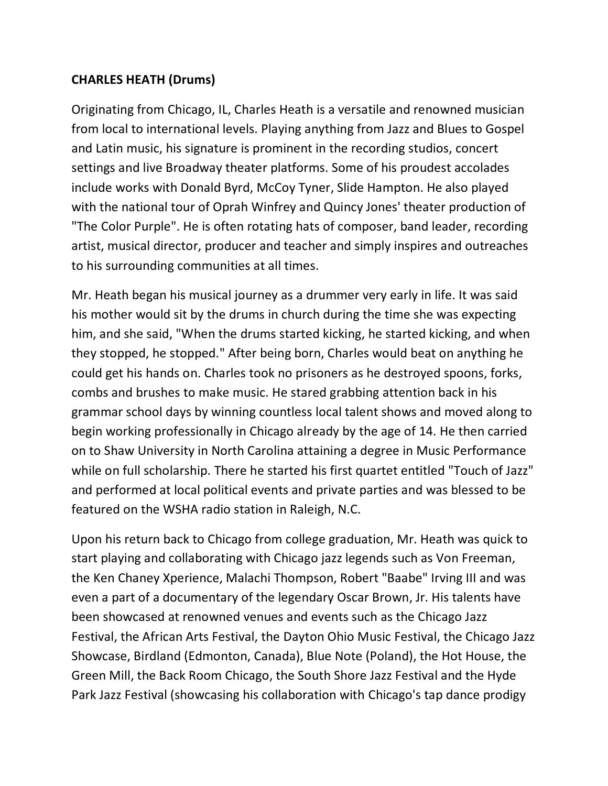## **CHARLES HEATH (Drums)**

Originating from Chicago, IL, Charles Heath is a versatile and renowned musician from local to international levels. Playing anything from Jazz and Blues to Gospel and Latin music, his signature is prominent in the recording studios, concert settings and live Broadway theater platforms. Some of his proudest accolades include works with Donald Byrd, McCoy Tyner, Slide Hampton. He also played with the national tour of Oprah Winfrey and Quincy Jones' theater production of "The Color Purple". He is often rotating hats of composer, band leader, recording artist, musical director, producer and teacher and simply inspires and outreaches to his surrounding communities at all times.

Mr. Heath began his musical journey as a drummer very early in life. It was said his mother would sit by the drums in church during the time she was expecting him, and she said, "When the drums started kicking, he started kicking, and when they stopped, he stopped." After being born, Charles would beat on anything he could get his hands on. Charles took no prisoners as he destroyed spoons, forks, combs and brushes to make music. He stared grabbing attention back in his grammar school days by winning countless local talent shows and moved along to begin working professionally in Chicago already by the age of 14. He then carried on to Shaw University in North Carolina attaining a degree in Music Performance while on full scholarship. There he started his first quartet entitled "Touch of Jazz" and performed at local political events and private parties and was blessed to be featured on the WSHA radio station in Raleigh, N.C.

Upon his return back to Chicago from college graduation, Mr. Heath was quick to start playing and collaborating with Chicago jazz legends such as Von Freeman, the Ken Chaney Xperience, Malachi Thompson, Robert "Baabe" Irving III and was even a part of a documentary of the legendary Oscar Brown, Jr. His talents have been showcased at renowned venues and events such as the Chicago Jazz Festival, the African Arts Festival, the Dayton Ohio Music Festival, the Chicago Jazz Showcase, Birdland (Edmonton, Canada), Blue Note (Poland), the Hot House, the Green Mill, the Back Room Chicago, the South Shore Jazz Festival and the Hyde Park Jazz Festival (showcasing his collaboration with Chicago's tap dance prodigy